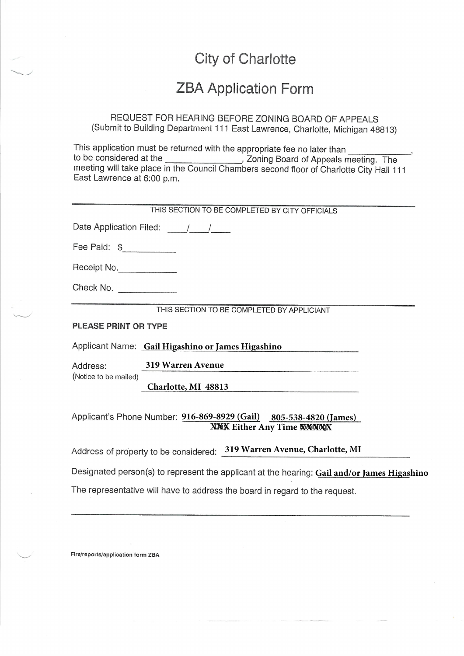# City of Charlotte

### **ZBA Application Form**

REQUEST FOR HEARING BEFORE ZONING BOARD OF APPEALS (Submit to Building Department 111 East Lawrence, Charlotte, Michigan 48813)

This application must be returned with the appropriate fee no later than to be considered at the ..., Zoning Board of Appeals meeting. The meeting will take place in the Council Chambers second floor of Charlotte City Hall 111 East Lawrence at 6:00 p.m.

| THIS SECTION TO BE COMPLETED BY CITY OFFICIALS                                                                 |  |
|----------------------------------------------------------------------------------------------------------------|--|
| Date Application Filed: / /                                                                                    |  |
| Fee Paid: \$____________                                                                                       |  |
| Receipt No.                                                                                                    |  |
| Check No. ____________                                                                                         |  |
| THIS SECTION TO BE COMPLETED BY APPLICIANT                                                                     |  |
| PLEASE PRINT OR TYPE                                                                                           |  |
| Applicant Name: Gail Higashino or James Higashino                                                              |  |
| <b>319 Warren Avenue</b><br>Address:                                                                           |  |
| (Notice to be mailed)<br>Charlotte, MI 48813                                                                   |  |
| Applicant's Phone Number: 916-869-8929 (Gail) 805-538-4820 (James)<br><b>XXX</b> Either Any Time <b>XXXXXX</b> |  |
| Address of property to be considered: 319 Warren Avenue, Charlotte, MI                                         |  |
| Designated person(s) to represent the applicant at the hearing: Gail and/or James Higashino                    |  |
| The representative will have to address the board in regard to the request.                                    |  |

Fire/reports/application form ZBA